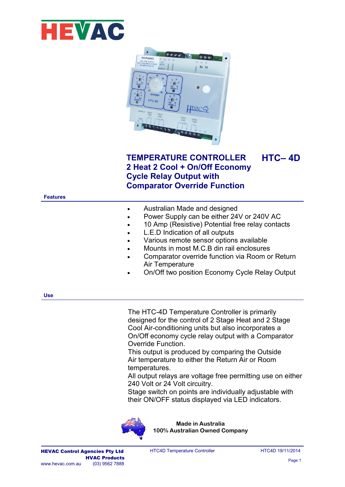



## **TEMPERATURE CONTROLLER 2 Heat 2 Cool + On/Off Economy Cycle Relay Output with Comparator Override Function HTC– 4D**

## **Features**

| Australian Made and designed<br>$\bullet$ |
|-------------------------------------------|
|-------------------------------------------|

- Power Supply can be either 24V or 240V AC
- 10 Amp (Resistive) Potential free relay contacts
- L.E.D Indication of all outputs
- Various remote sensor options available
- Mounts in most M.C.B din rail enclosures
- Comparator override function via Room or Return Air Temperature
- On/Off two position Economy Cycle Relay Output

**Use**

The HTC-4D Temperature Controller is primarily designed for the control of 2 Stage Heat and 2 Stage Cool Air-conditioning units but also incorporates a On/Off economy cycle relay output with a Comparator Override Function.

This output is produced by comparing the Outside Air temperature to either the Return Air or Room temperatures.

All output relays are voltage free permitting use on either 240 Volt or 24 Volt circuitry.

Stage switch on points are individually adjustable with their ON/OFF status displayed via LED indicators.



**Made in Australia 100% Australian Owned Company**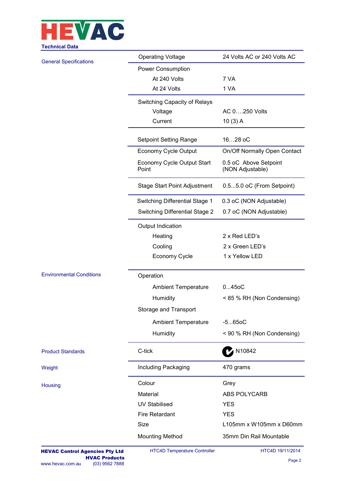

| Gumnuar Data                    |                                       |                                           |  |  |  |  |  |
|---------------------------------|---------------------------------------|-------------------------------------------|--|--|--|--|--|
| <b>General Specifications</b>   | <b>Operating Voltage</b>              | 24 Volts AC or 240 Volts AC               |  |  |  |  |  |
|                                 | Power Consumption                     |                                           |  |  |  |  |  |
|                                 | At 240 Volts                          | 7 VA                                      |  |  |  |  |  |
|                                 | At 24 Volts                           | 1 VA                                      |  |  |  |  |  |
|                                 | Switching Capacity of Relays          |                                           |  |  |  |  |  |
|                                 | Voltage                               | AC 0250 Volts                             |  |  |  |  |  |
|                                 | Current                               | 10(3) A                                   |  |  |  |  |  |
|                                 | <b>Setpoint Setting Range</b>         | 1628 oC                                   |  |  |  |  |  |
|                                 | Economy Cycle Output                  | On/Off Normally Open Contact              |  |  |  |  |  |
|                                 | Economy Cycle Output Start<br>Point   | 0.5 oC Above Setpoint<br>(NON Adjustable) |  |  |  |  |  |
|                                 | <b>Stage Start Point Adjustment</b>   | 0.55.0 oC (From Setpoint)                 |  |  |  |  |  |
|                                 | Switching Differential Stage 1        | 0.3 oC (NON Adjustable)                   |  |  |  |  |  |
|                                 | <b>Switching Differential Stage 2</b> | 0.7 oC (NON Adjustable)                   |  |  |  |  |  |
|                                 | Output Indication                     |                                           |  |  |  |  |  |
|                                 | Heating                               | 2 x Red LED's                             |  |  |  |  |  |
|                                 | Cooling                               | 2 x Green LED's                           |  |  |  |  |  |
|                                 | <b>Economy Cycle</b>                  | 1 x Yellow LED                            |  |  |  |  |  |
| <b>Environmental Conditions</b> | Operation                             |                                           |  |  |  |  |  |
|                                 | <b>Ambient Temperature</b>            | 0450C                                     |  |  |  |  |  |
|                                 | Humidity                              | < 85 % RH (Non Condensing)                |  |  |  |  |  |
|                                 | Storage and Transport                 |                                           |  |  |  |  |  |
|                                 | <b>Ambient Temperature</b>            | $-5650C$                                  |  |  |  |  |  |
|                                 | Humidity                              | < 90 % RH (Non Condensing)                |  |  |  |  |  |
| <b>Product Standards</b>        | C-tick                                | <b>M10842</b>                             |  |  |  |  |  |
| Weight                          | Including Packaging                   | 470 grams                                 |  |  |  |  |  |
| Housing                         | Colour                                | Grey                                      |  |  |  |  |  |
|                                 | Material                              | ABS POLYCARB                              |  |  |  |  |  |
|                                 | <b>UV Stabilised</b>                  | <b>YES</b>                                |  |  |  |  |  |
|                                 | <b>Fire Retardant</b>                 | <b>YES</b>                                |  |  |  |  |  |
|                                 | Size                                  | L105mm x W105mm x D60mm                   |  |  |  |  |  |
|                                 | <b>Mounting Method</b>                | 35mm Din Rail Mountable                   |  |  |  |  |  |
|                                 |                                       |                                           |  |  |  |  |  |

HTC4D Temperature Controller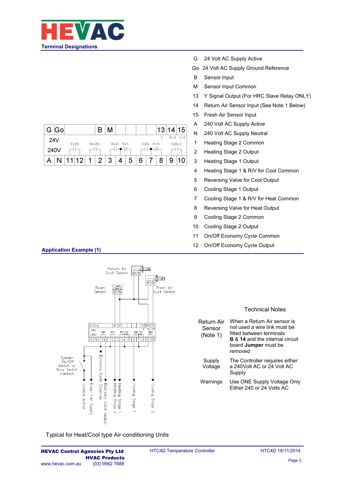

|      | G Go |             |      |       |                |   |          |   |   |          | 13 | 14 15  |             |
|------|------|-------------|------|-------|----------------|---|----------|---|---|----------|----|--------|-------------|
| 24V  |      | <b>ECON</b> |      | HEAT2 |                |   | HEAT RVC |   |   | COOL RVH |    | CDDL 2 | $R/A$ $S/A$ |
| 240V |      |             |      |       |                |   |          |   |   |          |    |        |             |
|      |      | и.          | 1 12 | 1     | $\overline{2}$ | 3 |          | 5 | 6 |          |    |        |             |

- G 24 Volt AC Supply Active
- Go 24 Volt AC Supply Ground Reference
- B Sensor Input
- M Sensor Input Common
- 13 Y Signal Output (For HRC Slave Relay ONLY)
- 14 Return Air Sensor Input (See Note 1 Below)
- 15 Fresh Air Sensor Input
- A 240 Volt AC Supply Active
- N 240 Volt AC Supply Neutral
- 1 Heating Stage 2 Common
- 2 Heating Stage 2 Output
- 3 Heating Stage 1 Output
- 4 Heating Stage 1 & R/V for Cool Common
- 5 Reversing Valve for Cool Output
- 6 Cooling Stage 1 Output
- 7 Cooling Stage 1 & R/V for Heat Common
- 8 Reversing Valve for Heat Output
- 9 Cooling Stage 2 Common
- 10 Cooling Stage 2 Output
- 11 On/Off Economy Cycle Common
- 12 On/Off Economy Cycle Output

## **Application Example (1)**



Typical for Heat/Cool type Air-conditioning Units